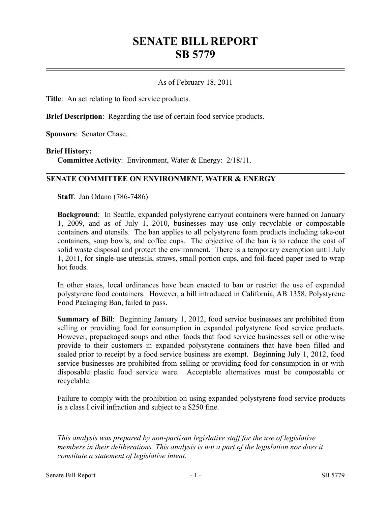# **SENATE BILL REPORT SB 5779**

#### As of February 18, 2011

**Title**: An act relating to food service products.

**Brief Description**: Regarding the use of certain food service products.

**Sponsors**: Senator Chase.

#### **Brief History:**

**Committee Activity**: Environment, Water & Energy: 2/18/11.

### **SENATE COMMITTEE ON ENVIRONMENT, WATER & ENERGY**

**Staff**: Jan Odano (786-7486)

**Background**: In Seattle, expanded polystyrene carryout containers were banned on January 1, 2009, and as of July 1, 2010, businesses may use only recyclable or compostable containers and utensils. The ban applies to all polystyrene foam products including take-out containers, soup bowls, and coffee cups. The objective of the ban is to reduce the cost of solid waste disposal and protect the environment. There is a temporary exemption until July 1, 2011, for single-use utensils, straws, small portion cups, and foil-faced paper used to wrap hot foods.

In other states, local ordinances have been enacted to ban or restrict the use of expanded polystyrene food containers. However, a bill introduced in California, AB 1358, Polystyrene Food Packaging Ban, failed to pass.

**Summary of Bill**: Beginning January 1, 2012, food service businesses are prohibited from selling or providing food for consumption in expanded polystyrene food service products. However, prepackaged soups and other foods that food service businesses sell or otherwise provide to their customers in expanded polystyrene containers that have been filled and sealed prior to receipt by a food service business are exempt. Beginning July 1, 2012, food service businesses are prohibited from selling or providing food for consumption in or with disposable plastic food service ware. Acceptable alternatives must be compostable or recyclable.

Failure to comply with the prohibition on using expanded polystyrene food service products is a class I civil infraction and subject to a \$250 fine.

––––––––––––––––––––––

*This analysis was prepared by non-partisan legislative staff for the use of legislative members in their deliberations. This analysis is not a part of the legislation nor does it constitute a statement of legislative intent.*